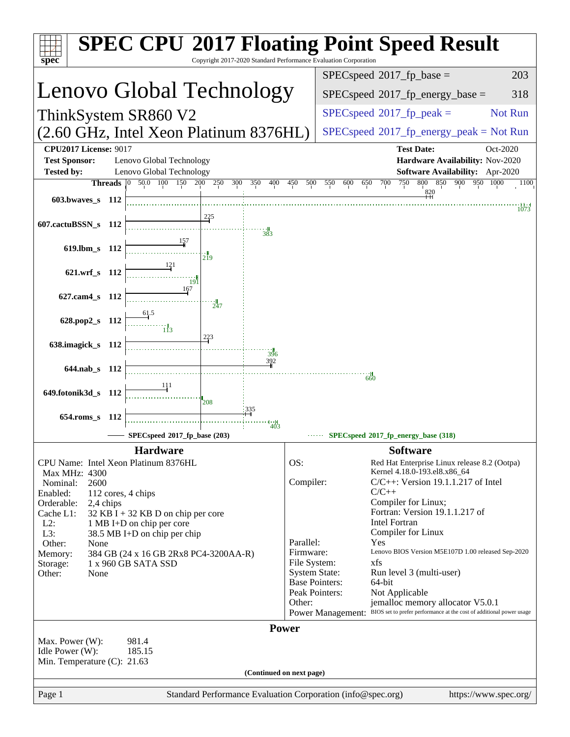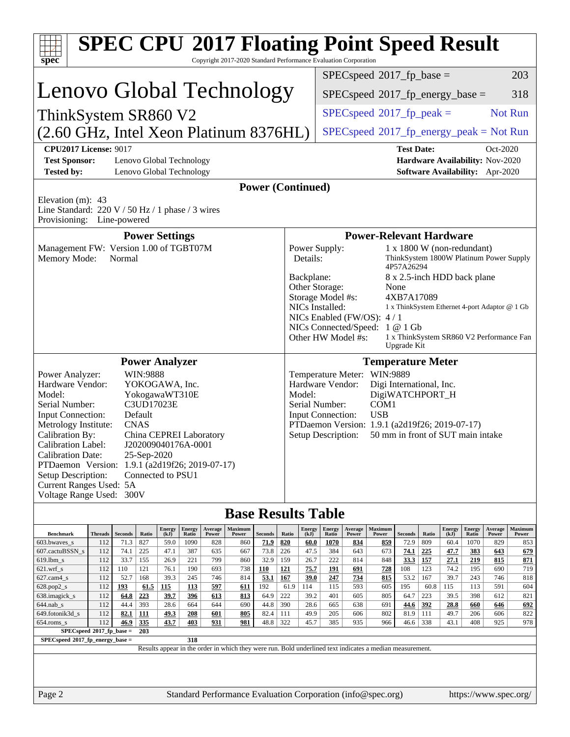| $spec^*$                                                                                                                                                                                                                                                                                                                                                                                                                                                                                                           |                |                |             |                       |                   |              | <b>SPEC CPU®2017 Floating Point Speed Result</b><br>Copyright 2017-2020 Standard Performance Evaluation Corporation |                        |                                                                                                                                                                                                                                                                                    |                                                                                                                                                                                                                                                                                                                                             |                        |              |                                         |                        |             |                                                         |               |                                                                    |                   |
|--------------------------------------------------------------------------------------------------------------------------------------------------------------------------------------------------------------------------------------------------------------------------------------------------------------------------------------------------------------------------------------------------------------------------------------------------------------------------------------------------------------------|----------------|----------------|-------------|-----------------------|-------------------|--------------|---------------------------------------------------------------------------------------------------------------------|------------------------|------------------------------------------------------------------------------------------------------------------------------------------------------------------------------------------------------------------------------------------------------------------------------------|---------------------------------------------------------------------------------------------------------------------------------------------------------------------------------------------------------------------------------------------------------------------------------------------------------------------------------------------|------------------------|--------------|-----------------------------------------|------------------------|-------------|---------------------------------------------------------|---------------|--------------------------------------------------------------------|-------------------|
|                                                                                                                                                                                                                                                                                                                                                                                                                                                                                                                    |                |                |             |                       |                   |              |                                                                                                                     |                        |                                                                                                                                                                                                                                                                                    |                                                                                                                                                                                                                                                                                                                                             |                        |              | $SPEC speed^{\circ}2017$ _fp_base =     |                        |             |                                                         |               |                                                                    | 203               |
| Lenovo Global Technology                                                                                                                                                                                                                                                                                                                                                                                                                                                                                           |                |                |             |                       |                   |              |                                                                                                                     |                        |                                                                                                                                                                                                                                                                                    | 318<br>$SPEC speed^{\circ}2017\_fp\_energy\_base =$                                                                                                                                                                                                                                                                                         |                        |              |                                         |                        |             |                                                         |               |                                                                    |                   |
| ThinkSystem SR860 V2                                                                                                                                                                                                                                                                                                                                                                                                                                                                                               |                |                |             |                       |                   |              |                                                                                                                     |                        |                                                                                                                                                                                                                                                                                    |                                                                                                                                                                                                                                                                                                                                             |                        |              | $SPEC speed^{\circ}2017$ _fp_peak =     |                        |             |                                                         |               |                                                                    | Not Run           |
| (2.60 GHz, Intel Xeon Platinum 8376HL)                                                                                                                                                                                                                                                                                                                                                                                                                                                                             |                |                |             |                       |                   |              |                                                                                                                     |                        |                                                                                                                                                                                                                                                                                    |                                                                                                                                                                                                                                                                                                                                             |                        |              | $SPEC speed@2017frenergypeak = Not Run$ |                        |             |                                                         |               |                                                                    |                   |
| <b>CPU2017 License: 9017</b><br><b>Test Date:</b><br>Oct-2020                                                                                                                                                                                                                                                                                                                                                                                                                                                      |                |                |             |                       |                   |              |                                                                                                                     |                        |                                                                                                                                                                                                                                                                                    |                                                                                                                                                                                                                                                                                                                                             |                        |              |                                         |                        |             |                                                         |               |                                                                    |                   |
| <b>Test Sponsor:</b><br>Lenovo Global Technology<br><b>Tested by:</b><br>Lenovo Global Technology                                                                                                                                                                                                                                                                                                                                                                                                                  |                |                |             |                       |                   |              |                                                                                                                     |                        |                                                                                                                                                                                                                                                                                    |                                                                                                                                                                                                                                                                                                                                             |                        |              |                                         |                        |             |                                                         |               | Hardware Availability: Nov-2020<br>Software Availability: Apr-2020 |                   |
| <b>Power (Continued)</b>                                                                                                                                                                                                                                                                                                                                                                                                                                                                                           |                |                |             |                       |                   |              |                                                                                                                     |                        |                                                                                                                                                                                                                                                                                    |                                                                                                                                                                                                                                                                                                                                             |                        |              |                                         |                        |             |                                                         |               |                                                                    |                   |
| Elevation $(m)$ : 43<br>Line Standard: 220 V / 50 Hz / 1 phase / 3 wires<br>Provisioning: Line-powered                                                                                                                                                                                                                                                                                                                                                                                                             |                |                |             |                       |                   |              |                                                                                                                     |                        |                                                                                                                                                                                                                                                                                    |                                                                                                                                                                                                                                                                                                                                             |                        |              |                                         |                        |             |                                                         |               |                                                                    |                   |
| <b>Power-Relevant Hardware</b><br><b>Power Settings</b>                                                                                                                                                                                                                                                                                                                                                                                                                                                            |                |                |             |                       |                   |              |                                                                                                                     |                        |                                                                                                                                                                                                                                                                                    |                                                                                                                                                                                                                                                                                                                                             |                        |              |                                         |                        |             |                                                         |               |                                                                    |                   |
| Management FW: Version 1.00 of TGBT07M<br>Memory Mode:<br>Normal                                                                                                                                                                                                                                                                                                                                                                                                                                                   |                |                |             |                       |                   |              |                                                                                                                     |                        |                                                                                                                                                                                                                                                                                    | 1 x 1800 W (non-redundant)<br>Power Supply:<br>Details:<br>ThinkSystem 1800W Platinum Power Supply                                                                                                                                                                                                                                          |                        |              |                                         |                        |             |                                                         |               |                                                                    |                   |
|                                                                                                                                                                                                                                                                                                                                                                                                                                                                                                                    |                |                |             |                       |                   |              |                                                                                                                     |                        |                                                                                                                                                                                                                                                                                    | 4P57A26294<br>Backplane:<br>8 x 2.5-inch HDD back plane<br>Other Storage:<br>None<br>Storage Model #s:<br>4XB7A17089<br>NICs Installed:<br>1 x ThinkSystem Ethernet 4-port Adaptor @ 1 Gb<br>NICs Enabled (FW/OS): $4/1$<br>NICs Connected/Speed: 1 @ 1 Gb<br>Other HW Model #s:<br>1 x ThinkSystem SR860 V2 Performance Fan<br>Upgrade Kit |                        |              |                                         |                        |             |                                                         |               |                                                                    |                   |
|                                                                                                                                                                                                                                                                                                                                                                                                                                                                                                                    |                |                |             | <b>Power Analyzer</b> |                   |              |                                                                                                                     |                        |                                                                                                                                                                                                                                                                                    |                                                                                                                                                                                                                                                                                                                                             |                        |              | <b>Temperature Meter</b>                |                        |             |                                                         |               |                                                                    |                   |
| WIN:9888<br>Power Analyzer:<br>Hardware Vendor:<br>YOKOGAWA, Inc.<br>Model:<br>YokogawaWT310E<br>C3UD17023E<br>Serial Number:<br>Default<br><b>Input Connection:</b><br><b>CNAS</b><br>Metrology Institute:<br>Calibration By:<br>China CEPREI Laboratory<br>Calibration Label:<br>J202009040176A-0001<br>25-Sep-2020<br><b>Calibration Date:</b><br>PTDaemon <sup>™</sup> Version: 1.9.1 (a2d19f26; 2019-07-17)<br>Connected to PSU1<br>Setup Description:<br>Current Ranges Used: 5A<br>Voltage Range Used: 300V |                |                |             |                       |                   |              |                                                                                                                     |                        | Temperature Meter: WIN:9889<br>Hardware Vendor:<br>Digi International, Inc.<br>Model:<br>DigiWATCHPORT_H<br>COM1<br>Serial Number:<br><b>USB</b><br>Input Connection:<br>PTDaemon Version: 1.9.1 (a2d19f26; 2019-07-17)<br>50 mm in front of SUT main intake<br>Setup Description: |                                                                                                                                                                                                                                                                                                                                             |                        |              |                                         |                        |             |                                                         |               |                                                                    |                   |
|                                                                                                                                                                                                                                                                                                                                                                                                                                                                                                                    |                |                |             |                       |                   |              | <b>Base Results Table</b>                                                                                           |                        |                                                                                                                                                                                                                                                                                    |                                                                                                                                                                                                                                                                                                                                             |                        |              |                                         |                        |             |                                                         |               |                                                                    |                   |
| <b>Benchmark</b>                                                                                                                                                                                                                                                                                                                                                                                                                                                                                                   | <b>Threads</b> | <b>Seconds</b> | Ratio       | <b>Energy</b><br>(kJ) | <b>Energy</b>     | Average      | Maximum<br>Power                                                                                                    |                        | Ratio                                                                                                                                                                                                                                                                              | $\begin{array}{c} \rm{Energy} \\ \rm{(kJ)} \end{array}$                                                                                                                                                                                                                                                                                     | <b>Energy</b><br>Ratio | Average      | Maximum                                 |                        | Ratio       | $\begin{array}{c} \rm{Energy} \\ \rm{(kJ)} \end{array}$ | <b>Energy</b> | Average                                                            | Maximum           |
| 603.bwaves_s                                                                                                                                                                                                                                                                                                                                                                                                                                                                                                       | 112            | 71.3           | 827         | 59.0                  | Ratio<br>1090     | Power<br>828 | 860                                                                                                                 | <b>Seconds</b><br>71.9 | 820                                                                                                                                                                                                                                                                                | 60.0                                                                                                                                                                                                                                                                                                                                        | 1070                   | Power<br>834 | Power<br>859                            | <b>Seconds</b><br>72.9 | 809         | 60.4                                                    | Ratio<br>1070 | Power<br>829                                                       | Power<br>853      |
| 607.cactuBSSN_s<br>619.lbm s                                                                                                                                                                                                                                                                                                                                                                                                                                                                                       | 112<br>112     | 74.1<br>33.7   | 225<br>155  | 47.1<br>26.9          | 387<br>221        | 635<br>799   | 667<br>860                                                                                                          | 73.8<br>32.9           | 226<br>159                                                                                                                                                                                                                                                                         | 47.5<br>26.7                                                                                                                                                                                                                                                                                                                                | 384<br>222             | 643<br>814   | 673<br>848                              | <u>74.1</u><br>33.3    | 225<br>157  | 47.7<br>27.1                                            | 383<br>219    | 643<br>815                                                         | 679<br><u>871</u> |
| $621.wrf$ <sub>S</sub>                                                                                                                                                                                                                                                                                                                                                                                                                                                                                             | 112            | 110            | 121         | 76.1                  | 190               | 693          | 738                                                                                                                 | 110                    | <u>121</u>                                                                                                                                                                                                                                                                         | 75.7                                                                                                                                                                                                                                                                                                                                        | <u>191</u>             | 691          | 728                                     | 108                    | 123         | 74.2                                                    | 195           | 690                                                                | 719               |
| $627.cam4_s$                                                                                                                                                                                                                                                                                                                                                                                                                                                                                                       | 112            | 52.7           | 168         | 39.3                  | 245               | 746          | 814                                                                                                                 | 53.1                   | 167                                                                                                                                                                                                                                                                                | 39.0                                                                                                                                                                                                                                                                                                                                        | 247                    | <u>734</u>   | 815                                     | 53.2                   | 167         | 39.7                                                    | 243           | 746                                                                | 818               |
| $628.pop2_s$<br>638.imagick_s                                                                                                                                                                                                                                                                                                                                                                                                                                                                                      | 112<br>112     | 193<br>64.8    | 61.5<br>223 | <u> 115</u><br>39.7   | <b>113</b><br>396 | 597<br>613   | 611<br>813                                                                                                          | 192<br>64.9            | 61.9<br>222                                                                                                                                                                                                                                                                        | 114<br>39.2                                                                                                                                                                                                                                                                                                                                 | 115<br>401             | 593<br>605   | 605<br>805                              | 195<br>64.7            | 60.8<br>223 | 115<br>39.5                                             | 113<br>398    | 591<br>612                                                         | 604<br>821        |
| $644$ .nab_s                                                                                                                                                                                                                                                                                                                                                                                                                                                                                                       | 112            | 44.4           | 393         | 28.6                  | 664               | 644          | 690                                                                                                                 | 44.8                   | 390                                                                                                                                                                                                                                                                                | 28.6                                                                                                                                                                                                                                                                                                                                        | 665                    | 638          | 691                                     | 44.6                   | 392         | 28.8                                                    | 660           | 646                                                                | 692               |
| 649.fotonik3d_s                                                                                                                                                                                                                                                                                                                                                                                                                                                                                                    | 112            | 82.1           | <u>111</u>  | <u>49.3</u>           | 208               | 601          | 805                                                                                                                 | 82.4                   | 111                                                                                                                                                                                                                                                                                | 49.9                                                                                                                                                                                                                                                                                                                                        | 205                    | 606          | 802                                     | 81.9                   | 111         | 49.7                                                    | 206           | 606                                                                | 822               |
| 112<br>335<br>43.7<br>981<br>46.9<br>403<br>931<br>48.8<br>$654$ .roms_s                                                                                                                                                                                                                                                                                                                                                                                                                                           |                |                |             |                       |                   |              |                                                                                                                     | 322                    | 45.7                                                                                                                                                                                                                                                                               | 385                                                                                                                                                                                                                                                                                                                                         | 935                    | 966          | 46.6                                    | 338                    | 43.1        | 408                                                     | 925           | 978                                                                |                   |
| SPECspeed*2017_fp_base =<br>203<br>SPECspeed®2017_fp_energy_base =<br>318                                                                                                                                                                                                                                                                                                                                                                                                                                          |                |                |             |                       |                   |              |                                                                                                                     |                        |                                                                                                                                                                                                                                                                                    |                                                                                                                                                                                                                                                                                                                                             |                        |              |                                         |                        |             |                                                         |               |                                                                    |                   |
| Results appear in the order in which they were run. Bold underlined text indicates a median measurement.                                                                                                                                                                                                                                                                                                                                                                                                           |                |                |             |                       |                   |              |                                                                                                                     |                        |                                                                                                                                                                                                                                                                                    |                                                                                                                                                                                                                                                                                                                                             |                        |              |                                         |                        |             |                                                         |               |                                                                    |                   |
| Standard Performance Evaluation Corporation (info@spec.org)<br>Page 2<br>https://www.spec.org/                                                                                                                                                                                                                                                                                                                                                                                                                     |                |                |             |                       |                   |              |                                                                                                                     |                        |                                                                                                                                                                                                                                                                                    |                                                                                                                                                                                                                                                                                                                                             |                        |              |                                         |                        |             |                                                         |               |                                                                    |                   |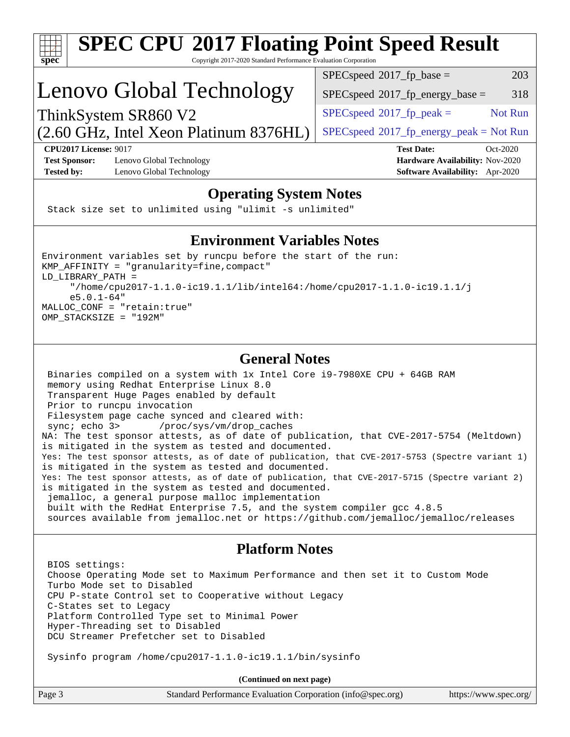

# **[SPEC CPU](http://www.spec.org/auto/cpu2017/Docs/result-fields.html#SPECCPU2017FloatingPointSpeedResult)[2017 Floating Point Speed Result](http://www.spec.org/auto/cpu2017/Docs/result-fields.html#SPECCPU2017FloatingPointSpeedResult)**

Copyright 2017-2020 Standard Performance Evaluation Corporation

## Lenovo Global Technology

 $SPEC speed^{\circ}2017\_fp\_base =$  203

 $SPEC speed^{\circ}2017\_fp\_energy\_base = 318$ 

 $SPECspeed*2017_fp\_energy\_peak = Not Run$  $SPECspeed*2017_fp\_energy\_peak = Not Run$ 

 $SPEC speed^{\circ}2017\_fp\_peak =$  Not Run

(2.60 GHz, Intel Xeon Platinum 8376HL) ThinkSystem SR860 V2

**[CPU2017 License:](http://www.spec.org/auto/cpu2017/Docs/result-fields.html#CPU2017License)** 9017 **[Test Date:](http://www.spec.org/auto/cpu2017/Docs/result-fields.html#TestDate)** Oct-2020 **[Test Sponsor:](http://www.spec.org/auto/cpu2017/Docs/result-fields.html#TestSponsor)** Lenovo Global Technology **[Hardware Availability:](http://www.spec.org/auto/cpu2017/Docs/result-fields.html#HardwareAvailability)** Nov-2020 **[Tested by:](http://www.spec.org/auto/cpu2017/Docs/result-fields.html#Testedby)** Lenovo Global Technology **[Software Availability:](http://www.spec.org/auto/cpu2017/Docs/result-fields.html#SoftwareAvailability)** Apr-2020

### **[Operating System Notes](http://www.spec.org/auto/cpu2017/Docs/result-fields.html#OperatingSystemNotes)**

Stack size set to unlimited using "ulimit -s unlimited"

### **[Environment Variables Notes](http://www.spec.org/auto/cpu2017/Docs/result-fields.html#EnvironmentVariablesNotes)**

Environment variables set by runcpu before the start of the run: KMP\_AFFINITY = "granularity=fine,compact" LD\_LIBRARY\_PATH = "/home/cpu2017-1.1.0-ic19.1.1/lib/intel64:/home/cpu2017-1.1.0-ic19.1.1/j e5.0.1-64" MALLOC\_CONF = "retain:true" OMP\_STACKSIZE = "192M"

### **[General Notes](http://www.spec.org/auto/cpu2017/Docs/result-fields.html#GeneralNotes)**

 Binaries compiled on a system with 1x Intel Core i9-7980XE CPU + 64GB RAM memory using Redhat Enterprise Linux 8.0 Transparent Huge Pages enabled by default Prior to runcpu invocation Filesystem page cache synced and cleared with: sync; echo 3> /proc/sys/vm/drop\_caches NA: The test sponsor attests, as of date of publication, that CVE-2017-5754 (Meltdown) is mitigated in the system as tested and documented. Yes: The test sponsor attests, as of date of publication, that CVE-2017-5753 (Spectre variant 1) is mitigated in the system as tested and documented. Yes: The test sponsor attests, as of date of publication, that CVE-2017-5715 (Spectre variant 2) is mitigated in the system as tested and documented. jemalloc, a general purpose malloc implementation built with the RedHat Enterprise 7.5, and the system compiler gcc 4.8.5 sources available from jemalloc.net or<https://github.com/jemalloc/jemalloc/releases>

### **[Platform Notes](http://www.spec.org/auto/cpu2017/Docs/result-fields.html#PlatformNotes)**

 BIOS settings: Choose Operating Mode set to Maximum Performance and then set it to Custom Mode Turbo Mode set to Disabled CPU P-state Control set to Cooperative without Legacy C-States set to Legacy Platform Controlled Type set to Minimal Power Hyper-Threading set to Disabled DCU Streamer Prefetcher set to Disabled

Sysinfo program /home/cpu2017-1.1.0-ic19.1.1/bin/sysinfo

**(Continued on next page)**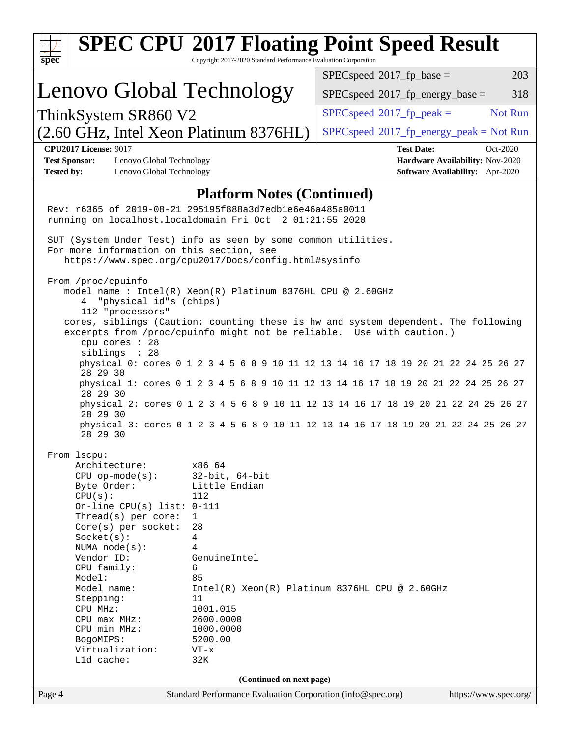| Copyright 2017-2020 Standard Performance Evaluation Corporation<br>$spec^*$<br>$SPEC speed^{\circ}2017\_fp\_base =$<br>Lenovo Global Technology                                                | 203<br>318                                                         |  |  |  |  |  |  |
|------------------------------------------------------------------------------------------------------------------------------------------------------------------------------------------------|--------------------------------------------------------------------|--|--|--|--|--|--|
|                                                                                                                                                                                                |                                                                    |  |  |  |  |  |  |
| $SPEC speed^{\circ}2017\_fp\_energy\_base =$                                                                                                                                                   |                                                                    |  |  |  |  |  |  |
| $SPEC speed^{\circ}2017$ _fp_peak =<br>ThinkSystem SR860 V2                                                                                                                                    | Not Run                                                            |  |  |  |  |  |  |
| (2.60 GHz, Intel Xeon Platinum 8376HL)<br>$SPEC speed@2017frenergypeak = Not Run$                                                                                                              |                                                                    |  |  |  |  |  |  |
| <b>CPU2017 License: 9017</b><br><b>Test Date:</b>                                                                                                                                              | Oct-2020                                                           |  |  |  |  |  |  |
| <b>Test Sponsor:</b><br>Lenovo Global Technology<br><b>Tested by:</b><br>Lenovo Global Technology                                                                                              | Hardware Availability: Nov-2020<br>Software Availability: Apr-2020 |  |  |  |  |  |  |
| <b>Platform Notes (Continued)</b>                                                                                                                                                              |                                                                    |  |  |  |  |  |  |
| Rev: r6365 of 2019-08-21 295195f888a3d7edble6e46a485a0011<br>running on localhost.localdomain Fri Oct 2 01:21:55 2020                                                                          |                                                                    |  |  |  |  |  |  |
| SUT (System Under Test) info as seen by some common utilities.<br>For more information on this section, see<br>https://www.spec.org/cpu2017/Docs/config.html#sysinfo                           |                                                                    |  |  |  |  |  |  |
| From /proc/cpuinfo<br>model name: $Intel(R)$ Xeon(R) Platinum 8376HL CPU @ 2.60GHz<br>4 "physical id"s (chips)<br>112 "processors"                                                             |                                                                    |  |  |  |  |  |  |
| cores, siblings (Caution: counting these is hw and system dependent. The following<br>excerpts from /proc/cpuinfo might not be reliable. Use with caution.)<br>cpu cores : 28<br>siblings : 28 |                                                                    |  |  |  |  |  |  |
| physical 0: cores 0 1 2 3 4 5 6 8 9 10 11 12 13 14 16 17 18 19 20 21 22 24 25 26 27<br>28 29 30                                                                                                |                                                                    |  |  |  |  |  |  |
| physical 1: cores 0 1 2 3 4 5 6 8 9 10 11 12 13 14 16 17 18 19 20 21 22 24 25 26 27<br>28 29 30                                                                                                |                                                                    |  |  |  |  |  |  |
| physical 2: cores 0 1 2 3 4 5 6 8 9 10 11 12 13 14 16 17 18 19 20 21 22 24 25 26 27<br>28 29 30                                                                                                |                                                                    |  |  |  |  |  |  |
| physical 3: cores 0 1 2 3 4 5 6 8 9 10 11 12 13 14 16 17 18 19 20 21 22 24 25 26 27<br>28 29 30                                                                                                |                                                                    |  |  |  |  |  |  |
| From 1scpu:<br>Architecture:<br>x86_64                                                                                                                                                         |                                                                    |  |  |  |  |  |  |
| $CPU$ op-mode( $s$ ):<br>$32$ -bit, $64$ -bit                                                                                                                                                  |                                                                    |  |  |  |  |  |  |
| Little Endian<br>Byte Order:<br>CPU(s):<br>112                                                                                                                                                 |                                                                    |  |  |  |  |  |  |
| On-line CPU(s) list: $0-111$<br>Thread(s) per core:<br>$\mathbf{1}$                                                                                                                            |                                                                    |  |  |  |  |  |  |
| Core(s) per socket:<br>28                                                                                                                                                                      |                                                                    |  |  |  |  |  |  |
| 4<br>Socket(s):                                                                                                                                                                                |                                                                    |  |  |  |  |  |  |
| 4<br>NUMA $node(s):$<br>Vendor ID:<br>GenuineIntel                                                                                                                                             |                                                                    |  |  |  |  |  |  |
| CPU family:<br>6                                                                                                                                                                               |                                                                    |  |  |  |  |  |  |
| Model:<br>85                                                                                                                                                                                   |                                                                    |  |  |  |  |  |  |
| Model name:<br>Intel(R) Xeon(R) Platinum 8376HL CPU @ 2.60GHz<br>11<br>Stepping:                                                                                                               |                                                                    |  |  |  |  |  |  |
| 1001.015<br>CPU MHz:                                                                                                                                                                           |                                                                    |  |  |  |  |  |  |
| 2600.0000<br>$CPU$ max $MHz:$                                                                                                                                                                  |                                                                    |  |  |  |  |  |  |
| CPU min MHz:<br>1000.0000<br>5200.00<br>BogoMIPS:                                                                                                                                              |                                                                    |  |  |  |  |  |  |
| Virtualization:<br>$VT - x$                                                                                                                                                                    |                                                                    |  |  |  |  |  |  |
| L1d cache:<br>32K                                                                                                                                                                              |                                                                    |  |  |  |  |  |  |
| (Continued on next page)                                                                                                                                                                       |                                                                    |  |  |  |  |  |  |
| Page 4<br>Standard Performance Evaluation Corporation (info@spec.org)                                                                                                                          | https://www.spec.org/                                              |  |  |  |  |  |  |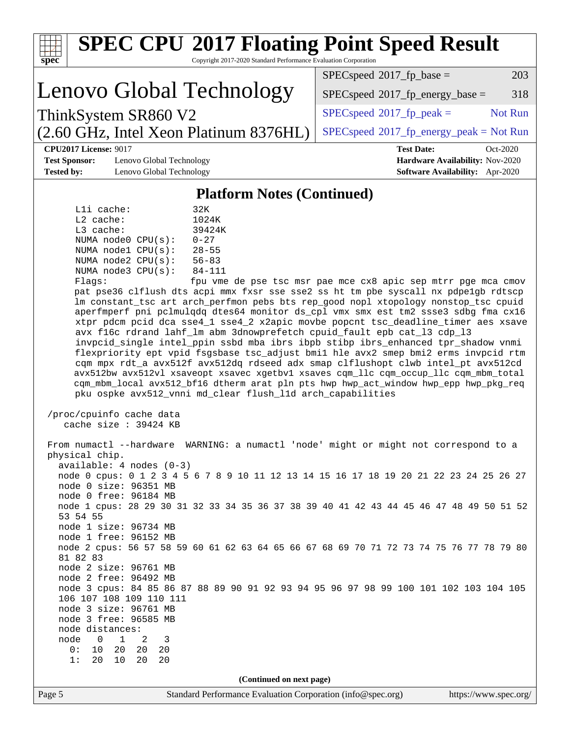| <b>SPEC CPU®2017 Floating Point Speed Result</b><br>Copyright 2017-2020 Standard Performance Evaluation Corporation                                                                                                                                                                                                                                                                                                                                                                                                                                                                                                                                                                                                                                                                                                                                                                                                                                                                                                                                                                                                                                                                                                                                                                                                                                                                                                                                                                                                                                                                                                                                                                                                                                                                                                                                                                                                                         |                                                   |  |  |  |  |  |
|---------------------------------------------------------------------------------------------------------------------------------------------------------------------------------------------------------------------------------------------------------------------------------------------------------------------------------------------------------------------------------------------------------------------------------------------------------------------------------------------------------------------------------------------------------------------------------------------------------------------------------------------------------------------------------------------------------------------------------------------------------------------------------------------------------------------------------------------------------------------------------------------------------------------------------------------------------------------------------------------------------------------------------------------------------------------------------------------------------------------------------------------------------------------------------------------------------------------------------------------------------------------------------------------------------------------------------------------------------------------------------------------------------------------------------------------------------------------------------------------------------------------------------------------------------------------------------------------------------------------------------------------------------------------------------------------------------------------------------------------------------------------------------------------------------------------------------------------------------------------------------------------------------------------------------------------|---------------------------------------------------|--|--|--|--|--|
| $spec^*$                                                                                                                                                                                                                                                                                                                                                                                                                                                                                                                                                                                                                                                                                                                                                                                                                                                                                                                                                                                                                                                                                                                                                                                                                                                                                                                                                                                                                                                                                                                                                                                                                                                                                                                                                                                                                                                                                                                                    | $SPEC speed^{\circ}2017\_fp\_base =$<br>203       |  |  |  |  |  |
| Lenovo Global Technology                                                                                                                                                                                                                                                                                                                                                                                                                                                                                                                                                                                                                                                                                                                                                                                                                                                                                                                                                                                                                                                                                                                                                                                                                                                                                                                                                                                                                                                                                                                                                                                                                                                                                                                                                                                                                                                                                                                    | $SPEC speed^{\circ}2017$ _fp_energy_base =<br>318 |  |  |  |  |  |
| ThinkSystem SR860 V2                                                                                                                                                                                                                                                                                                                                                                                                                                                                                                                                                                                                                                                                                                                                                                                                                                                                                                                                                                                                                                                                                                                                                                                                                                                                                                                                                                                                                                                                                                                                                                                                                                                                                                                                                                                                                                                                                                                        | Not Run<br>$SPEC speed^{\circ}2017$ _fp_peak =    |  |  |  |  |  |
| (2.60 GHz, Intel Xeon Platinum 8376HL)                                                                                                                                                                                                                                                                                                                                                                                                                                                                                                                                                                                                                                                                                                                                                                                                                                                                                                                                                                                                                                                                                                                                                                                                                                                                                                                                                                                                                                                                                                                                                                                                                                                                                                                                                                                                                                                                                                      | $SPEC speed@2017frenergypeak = Not Run$           |  |  |  |  |  |
| <b>CPU2017 License: 9017</b>                                                                                                                                                                                                                                                                                                                                                                                                                                                                                                                                                                                                                                                                                                                                                                                                                                                                                                                                                                                                                                                                                                                                                                                                                                                                                                                                                                                                                                                                                                                                                                                                                                                                                                                                                                                                                                                                                                                | <b>Test Date:</b><br>Oct-2020                     |  |  |  |  |  |
| <b>Test Sponsor:</b><br>Lenovo Global Technology                                                                                                                                                                                                                                                                                                                                                                                                                                                                                                                                                                                                                                                                                                                                                                                                                                                                                                                                                                                                                                                                                                                                                                                                                                                                                                                                                                                                                                                                                                                                                                                                                                                                                                                                                                                                                                                                                            | Hardware Availability: Nov-2020                   |  |  |  |  |  |
| <b>Tested by:</b><br>Lenovo Global Technology                                                                                                                                                                                                                                                                                                                                                                                                                                                                                                                                                                                                                                                                                                                                                                                                                                                                                                                                                                                                                                                                                                                                                                                                                                                                                                                                                                                                                                                                                                                                                                                                                                                                                                                                                                                                                                                                                               | <b>Software Availability:</b> Apr-2020            |  |  |  |  |  |
| <b>Platform Notes (Continued)</b><br>Lli cache:<br>32K<br>$L2$ cache:<br>1024K<br>L3 cache:<br>39424K<br>NUMA node0 CPU(s):<br>$0 - 27$<br>NUMA nodel CPU(s):<br>$28 - 55$<br>NUMA $node2$ $CPU(s):$<br>$56 - 83$<br>NUMA node3 CPU(s):<br>$84 - 111$<br>Flagg:<br>fpu vme de pse tsc msr pae mce cx8 apic sep mtrr pge mca cmov<br>pat pse36 clflush dts acpi mmx fxsr sse sse2 ss ht tm pbe syscall nx pdpelgb rdtscp<br>lm constant_tsc art arch_perfmon pebs bts rep_good nopl xtopology nonstop_tsc cpuid<br>aperfmperf pni pclmulqdq dtes64 monitor ds_cpl vmx smx est tm2 ssse3 sdbg fma cx16<br>xtpr pdcm pcid dca sse4_1 sse4_2 x2apic movbe popcnt tsc_deadline_timer aes xsave<br>avx f16c rdrand lahf_lm abm 3dnowprefetch cpuid_fault epb cat_13 cdp_13<br>invpcid_single intel_ppin ssbd mba ibrs ibpb stibp ibrs_enhanced tpr_shadow vnmi<br>flexpriority ept vpid fsgsbase tsc_adjust bmil hle avx2 smep bmi2 erms invpcid rtm<br>cqm mpx rdt_a avx512f avx512dq rdseed adx smap clflushopt clwb intel_pt avx512cd<br>avx512bw avx512vl xsaveopt xsavec xgetbv1 xsaves cqm_llc cqm_occup_llc cqm_mbm_total<br>cqm_mbm_local avx512_bf16 dtherm arat pln pts hwp hwp_act_window hwp_epp hwp_pkg_req<br>pku ospke avx512_vnni md_clear flush_l1d arch_capabilities<br>/proc/cpuinfo cache data<br>cache size : 39424 KB<br>From numactl --hardware WARNING: a numactl 'node' might or might not correspond to a<br>physical chip.<br>$available: 4 nodes (0-3)$<br>node 0 cpus: 0 1 2 3 4 5 6 7 8 9 10 11 12 13 14 15 16 17 18 19 20 21 22 23 24 25 26 27<br>node 0 size: 96351 MB<br>node 0 free: 96184 MB<br>node 1 cpus: 28 29 30 31 32 33 34 35 36 37 38 39 40 41 42 43 44 45 46 47 48 49 50 51 52<br>53 54 55<br>node 1 size: 96734 MB<br>node 1 free: 96152 MB<br>node 2 cpus: 56 57 58 59 60 61 62 63 64 65 66 67 68 69 70 71 72 73 74 75 76 77 78 79 80<br>81 82 83<br>node 2 size: 96761 MB<br>node 2 free: 96492 MB |                                                   |  |  |  |  |  |
| node 3 cpus: 84 85 86 87 88 89 90 91 92 93 94 95 96 97 98 99 100 101 102 103 104 105<br>106 107 108 109 110 111<br>node 3 size: 96761 MB                                                                                                                                                                                                                                                                                                                                                                                                                                                                                                                                                                                                                                                                                                                                                                                                                                                                                                                                                                                                                                                                                                                                                                                                                                                                                                                                                                                                                                                                                                                                                                                                                                                                                                                                                                                                    |                                                   |  |  |  |  |  |
| node 3 free: 96585 MB<br>node distances:                                                                                                                                                                                                                                                                                                                                                                                                                                                                                                                                                                                                                                                                                                                                                                                                                                                                                                                                                                                                                                                                                                                                                                                                                                                                                                                                                                                                                                                                                                                                                                                                                                                                                                                                                                                                                                                                                                    |                                                   |  |  |  |  |  |
| $\overline{0}$<br>1<br>2<br>node<br>3<br>0 :<br>10<br>20<br>20<br>20                                                                                                                                                                                                                                                                                                                                                                                                                                                                                                                                                                                                                                                                                                                                                                                                                                                                                                                                                                                                                                                                                                                                                                                                                                                                                                                                                                                                                                                                                                                                                                                                                                                                                                                                                                                                                                                                        |                                                   |  |  |  |  |  |
| 20<br>10<br>20<br>20<br>1:                                                                                                                                                                                                                                                                                                                                                                                                                                                                                                                                                                                                                                                                                                                                                                                                                                                                                                                                                                                                                                                                                                                                                                                                                                                                                                                                                                                                                                                                                                                                                                                                                                                                                                                                                                                                                                                                                                                  |                                                   |  |  |  |  |  |
| (Continued on next page)                                                                                                                                                                                                                                                                                                                                                                                                                                                                                                                                                                                                                                                                                                                                                                                                                                                                                                                                                                                                                                                                                                                                                                                                                                                                                                                                                                                                                                                                                                                                                                                                                                                                                                                                                                                                                                                                                                                    |                                                   |  |  |  |  |  |
| Page 5<br>Standard Performance Evaluation Corporation (info@spec.org)                                                                                                                                                                                                                                                                                                                                                                                                                                                                                                                                                                                                                                                                                                                                                                                                                                                                                                                                                                                                                                                                                                                                                                                                                                                                                                                                                                                                                                                                                                                                                                                                                                                                                                                                                                                                                                                                       | https://www.spec.org/                             |  |  |  |  |  |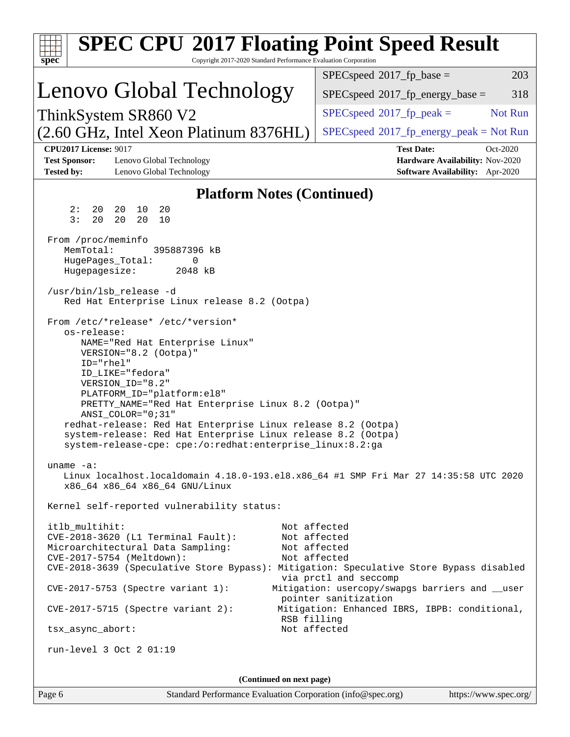| <b>SPEC CPU®2017 Floating Point Speed Result</b>                                                                                     |                                                                           |  |  |  |  |  |  |  |
|--------------------------------------------------------------------------------------------------------------------------------------|---------------------------------------------------------------------------|--|--|--|--|--|--|--|
| Copyright 2017-2020 Standard Performance Evaluation Corporation<br>$spec^*$                                                          |                                                                           |  |  |  |  |  |  |  |
|                                                                                                                                      | $SPEC speed^{\circ}2017$ _fp_base =<br>203                                |  |  |  |  |  |  |  |
| Lenovo Global Technology                                                                                                             | $SPEC speed^{\circ}2017$ fp energy base =<br>318                          |  |  |  |  |  |  |  |
| ThinkSystem SR860 V2                                                                                                                 | Not Run<br>$SPEC speed^{\circ}2017$ _fp_peak =                            |  |  |  |  |  |  |  |
| (2.60 GHz, Intel Xeon Platinum 8376HL)                                                                                               | $SPEC speed^{\circ}2017$ [p_energy_peak = Not Run                         |  |  |  |  |  |  |  |
| <b>CPU2017 License: 9017</b>                                                                                                         | <b>Test Date:</b><br>Oct-2020                                             |  |  |  |  |  |  |  |
| <b>Test Sponsor:</b><br>Lenovo Global Technology<br><b>Tested by:</b><br>Lenovo Global Technology                                    | Hardware Availability: Nov-2020<br><b>Software Availability:</b> Apr-2020 |  |  |  |  |  |  |  |
| <b>Platform Notes (Continued)</b>                                                                                                    |                                                                           |  |  |  |  |  |  |  |
| 20<br>20<br>2:<br>20<br>10                                                                                                           |                                                                           |  |  |  |  |  |  |  |
| 3:<br>20<br>20<br>20<br>10                                                                                                           |                                                                           |  |  |  |  |  |  |  |
| From /proc/meminfo                                                                                                                   |                                                                           |  |  |  |  |  |  |  |
| MemTotal:<br>395887396 kB<br>HugePages_Total:<br>0                                                                                   |                                                                           |  |  |  |  |  |  |  |
| Hugepagesize:<br>2048 kB                                                                                                             |                                                                           |  |  |  |  |  |  |  |
| /usr/bin/lsb release -d                                                                                                              |                                                                           |  |  |  |  |  |  |  |
| Red Hat Enterprise Linux release 8.2 (Ootpa)                                                                                         |                                                                           |  |  |  |  |  |  |  |
| From /etc/*release* /etc/*version*<br>os-release:                                                                                    |                                                                           |  |  |  |  |  |  |  |
| NAME="Red Hat Enterprise Linux"                                                                                                      |                                                                           |  |  |  |  |  |  |  |
| VERSION="8.2 (Ootpa)"                                                                                                                |                                                                           |  |  |  |  |  |  |  |
| ID="rhel"<br>ID LIKE="fedora"                                                                                                        |                                                                           |  |  |  |  |  |  |  |
| VERSION_ID="8.2"<br>PLATFORM_ID="platform:el8"                                                                                       |                                                                           |  |  |  |  |  |  |  |
| PRETTY_NAME="Red Hat Enterprise Linux 8.2 (Ootpa)"                                                                                   |                                                                           |  |  |  |  |  |  |  |
| ANSI_COLOR="0;31"<br>redhat-release: Red Hat Enterprise Linux release 8.2 (Ootpa)                                                    |                                                                           |  |  |  |  |  |  |  |
| system-release: Red Hat Enterprise Linux release 8.2 (Ootpa)                                                                         |                                                                           |  |  |  |  |  |  |  |
| system-release-cpe: cpe:/o:redhat:enterprise_linux:8.2:ga                                                                            |                                                                           |  |  |  |  |  |  |  |
| uname $-a$ :<br>Linux localhost.localdomain 4.18.0-193.el8.x86_64 #1 SMP Fri Mar 27 14:35:58 UTC 2020                                |                                                                           |  |  |  |  |  |  |  |
| x86_64 x86_64 x86_64 GNU/Linux                                                                                                       |                                                                           |  |  |  |  |  |  |  |
| Kernel self-reported vulnerability status:                                                                                           |                                                                           |  |  |  |  |  |  |  |
| itlb_multihit:<br>Not affected                                                                                                       |                                                                           |  |  |  |  |  |  |  |
| CVE-2018-3620 (L1 Terminal Fault):<br>Not affected                                                                                   |                                                                           |  |  |  |  |  |  |  |
| Microarchitectural Data Sampling:<br>Not affected                                                                                    |                                                                           |  |  |  |  |  |  |  |
| CVE-2017-5754 (Meltdown):<br>Not affected<br>CVE-2018-3639 (Speculative Store Bypass): Mitigation: Speculative Store Bypass disabled |                                                                           |  |  |  |  |  |  |  |
|                                                                                                                                      | via prctl and seccomp                                                     |  |  |  |  |  |  |  |
| $CVE-2017-5753$ (Spectre variant 1):                                                                                                 | Mitigation: usercopy/swapgs barriers and __user<br>pointer sanitization   |  |  |  |  |  |  |  |
| $CVE-2017-5715$ (Spectre variant 2):<br>RSB filling                                                                                  | Mitigation: Enhanced IBRS, IBPB: conditional,                             |  |  |  |  |  |  |  |
| Not affected<br>tsx_async_abort:                                                                                                     |                                                                           |  |  |  |  |  |  |  |
| run-level $3$ Oct $2$ 01:19                                                                                                          |                                                                           |  |  |  |  |  |  |  |
|                                                                                                                                      |                                                                           |  |  |  |  |  |  |  |
| (Continued on next page)                                                                                                             |                                                                           |  |  |  |  |  |  |  |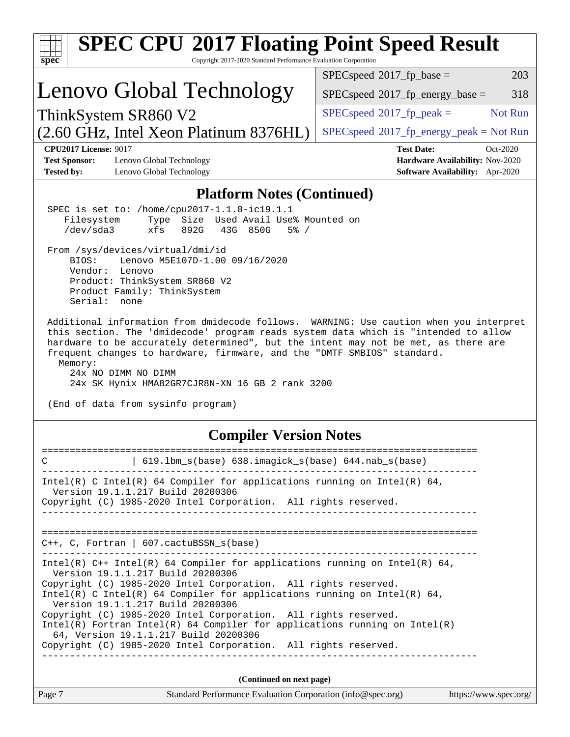| <b>SPEC CPU®2017 Floating Point Speed Result</b>                                                                                                                                                                                                                                                                                                                                                                                                                                                                                                                   |                                                                                                     |  |  |  |  |  |
|--------------------------------------------------------------------------------------------------------------------------------------------------------------------------------------------------------------------------------------------------------------------------------------------------------------------------------------------------------------------------------------------------------------------------------------------------------------------------------------------------------------------------------------------------------------------|-----------------------------------------------------------------------------------------------------|--|--|--|--|--|
| Copyright 2017-2020 Standard Performance Evaluation Corporation<br>$spec^*$                                                                                                                                                                                                                                                                                                                                                                                                                                                                                        |                                                                                                     |  |  |  |  |  |
|                                                                                                                                                                                                                                                                                                                                                                                                                                                                                                                                                                    | $SPEC speed^{\circ}2017\_fp\_base =$<br>203                                                         |  |  |  |  |  |
| Lenovo Global Technology                                                                                                                                                                                                                                                                                                                                                                                                                                                                                                                                           | 318<br>$SPEC speed^{\circ}2017$ fp energy base =                                                    |  |  |  |  |  |
| ThinkSystem SR860 V2                                                                                                                                                                                                                                                                                                                                                                                                                                                                                                                                               | $SPEC speed^{\circ}2017$ fp peak =<br>Not Run                                                       |  |  |  |  |  |
| (2.60 GHz, Intel Xeon Platinum 8376HL)                                                                                                                                                                                                                                                                                                                                                                                                                                                                                                                             | $SPEC speed@2017frenergypeak = Not Run$                                                             |  |  |  |  |  |
| <b>CPU2017 License: 9017</b><br><b>Test Sponsor:</b><br>Lenovo Global Technology<br><b>Tested by:</b><br>Lenovo Global Technology                                                                                                                                                                                                                                                                                                                                                                                                                                  | <b>Test Date:</b><br>Oct-2020<br>Hardware Availability: Nov-2020<br>Software Availability: Apr-2020 |  |  |  |  |  |
| <b>Platform Notes (Continued)</b>                                                                                                                                                                                                                                                                                                                                                                                                                                                                                                                                  |                                                                                                     |  |  |  |  |  |
| SPEC is set to: /home/cpu2017-1.1.0-ic19.1.1<br>Size Used Avail Use% Mounted on<br>Filesystem<br>Type<br>$/\text{dev/sda}$ 3<br>xfs<br>892G<br>43G 850G<br>$5\%$ /<br>From /sys/devices/virtual/dmi/id<br>Lenovo M5E107D-1.00 09/16/2020<br>BIOS:<br>Vendor: Lenovo<br>Product: ThinkSystem SR860 V2<br>Product Family: ThinkSystem                                                                                                                                                                                                                                |                                                                                                     |  |  |  |  |  |
| Additional information from dmidecode follows. WARNING: Use caution when you interpret<br>this section. The 'dmidecode' program reads system data which is "intended to allow<br>hardware to be accurately determined", but the intent may not be met, as there are<br>frequent changes to hardware, firmware, and the "DMTF SMBIOS" standard.<br>Memory:<br>24x NO DIMM NO DIMM<br>24x SK Hynix HMA82GR7CJR8N-XN 16 GB 2 rank 3200<br>(End of data from sysinfo program)                                                                                          |                                                                                                     |  |  |  |  |  |
| <b>Compiler Version Notes</b>                                                                                                                                                                                                                                                                                                                                                                                                                                                                                                                                      |                                                                                                     |  |  |  |  |  |
| $\vert$ 619.1bm_s(base) 638.imagick_s(base) 644.nab_s(base)<br>C                                                                                                                                                                                                                                                                                                                                                                                                                                                                                                   |                                                                                                     |  |  |  |  |  |
| Intel(R) C Intel(R) 64 Compiler for applications running on Intel(R) 64,<br>Version 19.1.1.217 Build 20200306<br>Copyright (C) 1985-2020 Intel Corporation. All rights reserved.<br>_______________________________                                                                                                                                                                                                                                                                                                                                                |                                                                                                     |  |  |  |  |  |
| $C++$ , C, Fortran   607.cactuBSSN_s(base)                                                                                                                                                                                                                                                                                                                                                                                                                                                                                                                         |                                                                                                     |  |  |  |  |  |
| Intel(R) C++ Intel(R) 64 Compiler for applications running on Intel(R) 64,<br>Version 19.1.1.217 Build 20200306<br>Copyright (C) 1985-2020 Intel Corporation. All rights reserved.<br>Intel(R) C Intel(R) 64 Compiler for applications running on Intel(R) 64,<br>Version 19.1.1.217 Build 20200306<br>Copyright (C) 1985-2020 Intel Corporation. All rights reserved.<br>$Intel(R)$ Fortran Intel(R) 64 Compiler for applications running on Intel(R)<br>64, Version 19.1.1.217 Build 20200306<br>Copyright (C) 1985-2020 Intel Corporation. All rights reserved. |                                                                                                     |  |  |  |  |  |
|                                                                                                                                                                                                                                                                                                                                                                                                                                                                                                                                                                    |                                                                                                     |  |  |  |  |  |
| (Continued on next page)                                                                                                                                                                                                                                                                                                                                                                                                                                                                                                                                           |                                                                                                     |  |  |  |  |  |
| Page 7<br>Standard Performance Evaluation Corporation (info@spec.org)                                                                                                                                                                                                                                                                                                                                                                                                                                                                                              | https://www.spec.org/                                                                               |  |  |  |  |  |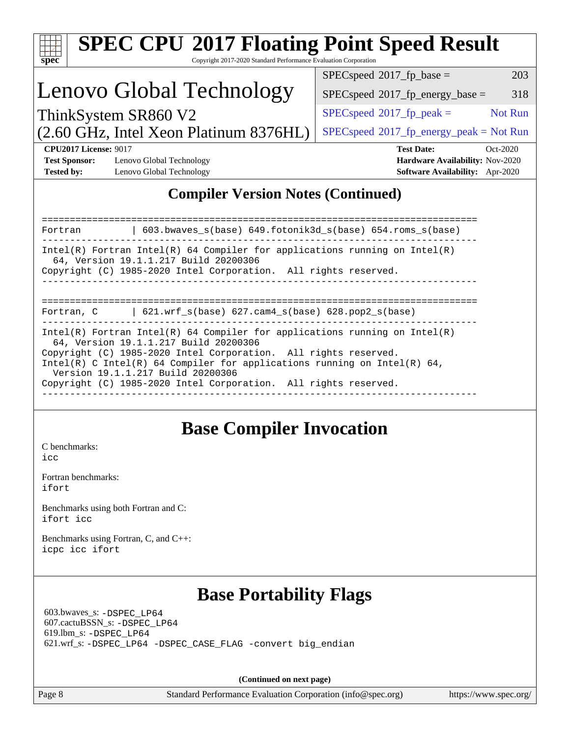|                                                                           |                                                                                                                                                                                                                                                                                                                                                                              | Copyright 2017-2020 Standard Performance Evaluation Corporation<br>203<br>$SPEC speed^{\circ}2017$ _fp_base = |
|---------------------------------------------------------------------------|------------------------------------------------------------------------------------------------------------------------------------------------------------------------------------------------------------------------------------------------------------------------------------------------------------------------------------------------------------------------------|---------------------------------------------------------------------------------------------------------------|
|                                                                           | Lenovo Global Technology                                                                                                                                                                                                                                                                                                                                                     | $SPEC speed^{\circ}2017$ _fp_energy_base =<br>318                                                             |
|                                                                           | ThinkSystem SR860 V2                                                                                                                                                                                                                                                                                                                                                         | Not Run<br>$SPEC speed^{\circ}2017$ fp peak =                                                                 |
|                                                                           | (2.60 GHz, Intel Xeon Platinum 8376HL)                                                                                                                                                                                                                                                                                                                                       | $SPEC speed@2017frenergypeak = Not Run$                                                                       |
| <b>CPU2017 License: 9017</b><br><b>Test Sponsor:</b><br><b>Tested by:</b> | Lenovo Global Technology<br>Lenovo Global Technology                                                                                                                                                                                                                                                                                                                         | <b>Test Date:</b><br>Oct-2020<br>Hardware Availability: Nov-2020<br>Software Availability: Apr-2020           |
|                                                                           | <b>Compiler Version Notes (Continued)</b>                                                                                                                                                                                                                                                                                                                                    |                                                                                                               |
| Fortran                                                                   | 603.bwaves_s(base) 649.fotonik3d_s(base) 654.roms_s(base)                                                                                                                                                                                                                                                                                                                    |                                                                                                               |
|                                                                           | $Intel(R)$ Fortran Intel(R) 64 Compiler for applications running on Intel(R)<br>64, Version 19.1.1.217 Build 20200306<br>Copyright (C) 1985-2020 Intel Corporation. All rights reserved.                                                                                                                                                                                     |                                                                                                               |
| Fortran, C                                                                | $\vert$ 621.wrf_s(base) 627.cam4_s(base) 628.pop2_s(base)                                                                                                                                                                                                                                                                                                                    |                                                                                                               |
|                                                                           | $Intel(R)$ Fortran Intel(R) 64 Compiler for applications running on Intel(R)<br>64, Version 19.1.1.217 Build 20200306<br>Copyright (C) 1985-2020 Intel Corporation. All rights reserved.<br>Intel(R) C Intel(R) 64 Compiler for applications running on Intel(R) 64,<br>Version 19.1.1.217 Build 20200306<br>Copyright (C) 1985-2020 Intel Corporation. All rights reserved. |                                                                                                               |
| C benchmarks:<br>icc                                                      | <b>Base Compiler Invocation</b>                                                                                                                                                                                                                                                                                                                                              |                                                                                                               |
| Fortran benchmarks:<br>ifort                                              |                                                                                                                                                                                                                                                                                                                                                                              |                                                                                                               |
|                                                                           | Benchmarks using both Fortran and C:                                                                                                                                                                                                                                                                                                                                         |                                                                                                               |
| ifort icc                                                                 | Benchmarks using Fortran, C, and C++:                                                                                                                                                                                                                                                                                                                                        |                                                                                                               |

 619.lbm\_s: [-DSPEC\\_LP64](http://www.spec.org/cpu2017/results/res2020q4/cpu2017-20201026-24299.flags.html#suite_basePORTABILITY619_lbm_s_DSPEC_LP64) 621.wrf\_s: [-DSPEC\\_LP64](http://www.spec.org/cpu2017/results/res2020q4/cpu2017-20201026-24299.flags.html#suite_basePORTABILITY621_wrf_s_DSPEC_LP64) [-DSPEC\\_CASE\\_FLAG](http://www.spec.org/cpu2017/results/res2020q4/cpu2017-20201026-24299.flags.html#b621.wrf_s_baseCPORTABILITY_DSPEC_CASE_FLAG) [-convert big\\_endian](http://www.spec.org/cpu2017/results/res2020q4/cpu2017-20201026-24299.flags.html#user_baseFPORTABILITY621_wrf_s_convert_big_endian_c3194028bc08c63ac5d04de18c48ce6d347e4e562e8892b8bdbdc0214820426deb8554edfa529a3fb25a586e65a3d812c835984020483e7e73212c4d31a38223)

**(Continued on next page)**

Page 8 Standard Performance Evaluation Corporation [\(info@spec.org\)](mailto:info@spec.org) <https://www.spec.org/>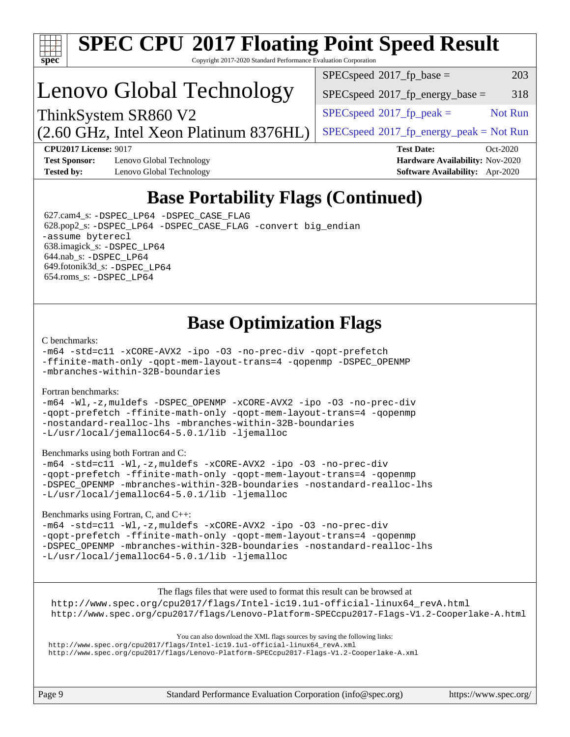

# **[SPEC CPU](http://www.spec.org/auto/cpu2017/Docs/result-fields.html#SPECCPU2017FloatingPointSpeedResult)[2017 Floating Point Speed Result](http://www.spec.org/auto/cpu2017/Docs/result-fields.html#SPECCPU2017FloatingPointSpeedResult)**

Copyright 2017-2020 Standard Performance Evaluation Corporation

## Lenovo Global Technology

(2.60 GHz, Intel Xeon Platinum 8376HL) ThinkSystem SR860 V2

 $SPEC speed^{\circ}2017\_fp\_base =$  203

 $SPEC speed^{\circ}2017\_fp\_energy\_base = 318$ 

 $SPECspeed^{\circ}2017<sub>fr</sub> peak =$  $SPECspeed^{\circ}2017<sub>fr</sub> peak =$  Not Run

 $SPEC speed^{\circ}2017\_fp\_energy\_peak = Not Run$ 

**[CPU2017 License:](http://www.spec.org/auto/cpu2017/Docs/result-fields.html#CPU2017License)** 9017 **[Test Date:](http://www.spec.org/auto/cpu2017/Docs/result-fields.html#TestDate)** Oct-2020 **[Test Sponsor:](http://www.spec.org/auto/cpu2017/Docs/result-fields.html#TestSponsor)** Lenovo Global Technology **[Hardware Availability:](http://www.spec.org/auto/cpu2017/Docs/result-fields.html#HardwareAvailability)** Nov-2020 **[Tested by:](http://www.spec.org/auto/cpu2017/Docs/result-fields.html#Testedby)** Lenovo Global Technology **[Software Availability:](http://www.spec.org/auto/cpu2017/Docs/result-fields.html#SoftwareAvailability)** Apr-2020

## **[Base Portability Flags \(Continued\)](http://www.spec.org/auto/cpu2017/Docs/result-fields.html#BasePortabilityFlags)**

 627.cam4\_s: [-DSPEC\\_LP64](http://www.spec.org/cpu2017/results/res2020q4/cpu2017-20201026-24299.flags.html#suite_basePORTABILITY627_cam4_s_DSPEC_LP64) [-DSPEC\\_CASE\\_FLAG](http://www.spec.org/cpu2017/results/res2020q4/cpu2017-20201026-24299.flags.html#b627.cam4_s_baseCPORTABILITY_DSPEC_CASE_FLAG) 628.pop2\_s: [-DSPEC\\_LP64](http://www.spec.org/cpu2017/results/res2020q4/cpu2017-20201026-24299.flags.html#suite_basePORTABILITY628_pop2_s_DSPEC_LP64) [-DSPEC\\_CASE\\_FLAG](http://www.spec.org/cpu2017/results/res2020q4/cpu2017-20201026-24299.flags.html#b628.pop2_s_baseCPORTABILITY_DSPEC_CASE_FLAG) [-convert big\\_endian](http://www.spec.org/cpu2017/results/res2020q4/cpu2017-20201026-24299.flags.html#user_baseFPORTABILITY628_pop2_s_convert_big_endian_c3194028bc08c63ac5d04de18c48ce6d347e4e562e8892b8bdbdc0214820426deb8554edfa529a3fb25a586e65a3d812c835984020483e7e73212c4d31a38223) [-assume byterecl](http://www.spec.org/cpu2017/results/res2020q4/cpu2017-20201026-24299.flags.html#user_baseFPORTABILITY628_pop2_s_assume_byterecl_7e47d18b9513cf18525430bbf0f2177aa9bf368bc7a059c09b2c06a34b53bd3447c950d3f8d6c70e3faf3a05c8557d66a5798b567902e8849adc142926523472) 638.imagick\_s: [-DSPEC\\_LP64](http://www.spec.org/cpu2017/results/res2020q4/cpu2017-20201026-24299.flags.html#suite_basePORTABILITY638_imagick_s_DSPEC_LP64) 644.nab\_s: [-DSPEC\\_LP64](http://www.spec.org/cpu2017/results/res2020q4/cpu2017-20201026-24299.flags.html#suite_basePORTABILITY644_nab_s_DSPEC_LP64) 649.fotonik3d\_s: [-DSPEC\\_LP64](http://www.spec.org/cpu2017/results/res2020q4/cpu2017-20201026-24299.flags.html#suite_basePORTABILITY649_fotonik3d_s_DSPEC_LP64) 654.roms\_s: [-DSPEC\\_LP64](http://www.spec.org/cpu2017/results/res2020q4/cpu2017-20201026-24299.flags.html#suite_basePORTABILITY654_roms_s_DSPEC_LP64)

## **[Base Optimization Flags](http://www.spec.org/auto/cpu2017/Docs/result-fields.html#BaseOptimizationFlags)**

#### [C benchmarks](http://www.spec.org/auto/cpu2017/Docs/result-fields.html#Cbenchmarks):

[-m64](http://www.spec.org/cpu2017/results/res2020q4/cpu2017-20201026-24299.flags.html#user_CCbase_m64-icc) [-std=c11](http://www.spec.org/cpu2017/results/res2020q4/cpu2017-20201026-24299.flags.html#user_CCbase_std-icc-std_0e1c27790398a4642dfca32ffe6c27b5796f9c2d2676156f2e42c9c44eaad0c049b1cdb667a270c34d979996257aeb8fc440bfb01818dbc9357bd9d174cb8524) [-xCORE-AVX2](http://www.spec.org/cpu2017/results/res2020q4/cpu2017-20201026-24299.flags.html#user_CCbase_f-xCORE-AVX2) [-ipo](http://www.spec.org/cpu2017/results/res2020q4/cpu2017-20201026-24299.flags.html#user_CCbase_f-ipo) [-O3](http://www.spec.org/cpu2017/results/res2020q4/cpu2017-20201026-24299.flags.html#user_CCbase_f-O3) [-no-prec-div](http://www.spec.org/cpu2017/results/res2020q4/cpu2017-20201026-24299.flags.html#user_CCbase_f-no-prec-div) [-qopt-prefetch](http://www.spec.org/cpu2017/results/res2020q4/cpu2017-20201026-24299.flags.html#user_CCbase_f-qopt-prefetch) [-ffinite-math-only](http://www.spec.org/cpu2017/results/res2020q4/cpu2017-20201026-24299.flags.html#user_CCbase_f_finite_math_only_cb91587bd2077682c4b38af759c288ed7c732db004271a9512da14a4f8007909a5f1427ecbf1a0fb78ff2a814402c6114ac565ca162485bbcae155b5e4258871) [-qopt-mem-layout-trans=4](http://www.spec.org/cpu2017/results/res2020q4/cpu2017-20201026-24299.flags.html#user_CCbase_f-qopt-mem-layout-trans_fa39e755916c150a61361b7846f310bcdf6f04e385ef281cadf3647acec3f0ae266d1a1d22d972a7087a248fd4e6ca390a3634700869573d231a252c784941a8) [-qopenmp](http://www.spec.org/cpu2017/results/res2020q4/cpu2017-20201026-24299.flags.html#user_CCbase_qopenmp_16be0c44f24f464004c6784a7acb94aca937f053568ce72f94b139a11c7c168634a55f6653758ddd83bcf7b8463e8028bb0b48b77bcddc6b78d5d95bb1df2967) [-DSPEC\\_OPENMP](http://www.spec.org/cpu2017/results/res2020q4/cpu2017-20201026-24299.flags.html#suite_CCbase_DSPEC_OPENMP) [-mbranches-within-32B-boundaries](http://www.spec.org/cpu2017/results/res2020q4/cpu2017-20201026-24299.flags.html#user_CCbase_f-mbranches-within-32B-boundaries)

#### [Fortran benchmarks](http://www.spec.org/auto/cpu2017/Docs/result-fields.html#Fortranbenchmarks):

[-m64](http://www.spec.org/cpu2017/results/res2020q4/cpu2017-20201026-24299.flags.html#user_FCbase_m64-icc) [-Wl,-z,muldefs](http://www.spec.org/cpu2017/results/res2020q4/cpu2017-20201026-24299.flags.html#user_FCbase_link_force_multiple1_b4cbdb97b34bdee9ceefcfe54f4c8ea74255f0b02a4b23e853cdb0e18eb4525ac79b5a88067c842dd0ee6996c24547a27a4b99331201badda8798ef8a743f577) [-DSPEC\\_OPENMP](http://www.spec.org/cpu2017/results/res2020q4/cpu2017-20201026-24299.flags.html#suite_FCbase_DSPEC_OPENMP) [-xCORE-AVX2](http://www.spec.org/cpu2017/results/res2020q4/cpu2017-20201026-24299.flags.html#user_FCbase_f-xCORE-AVX2) [-ipo](http://www.spec.org/cpu2017/results/res2020q4/cpu2017-20201026-24299.flags.html#user_FCbase_f-ipo) [-O3](http://www.spec.org/cpu2017/results/res2020q4/cpu2017-20201026-24299.flags.html#user_FCbase_f-O3) [-no-prec-div](http://www.spec.org/cpu2017/results/res2020q4/cpu2017-20201026-24299.flags.html#user_FCbase_f-no-prec-div) [-qopt-prefetch](http://www.spec.org/cpu2017/results/res2020q4/cpu2017-20201026-24299.flags.html#user_FCbase_f-qopt-prefetch) [-ffinite-math-only](http://www.spec.org/cpu2017/results/res2020q4/cpu2017-20201026-24299.flags.html#user_FCbase_f_finite_math_only_cb91587bd2077682c4b38af759c288ed7c732db004271a9512da14a4f8007909a5f1427ecbf1a0fb78ff2a814402c6114ac565ca162485bbcae155b5e4258871) [-qopt-mem-layout-trans=4](http://www.spec.org/cpu2017/results/res2020q4/cpu2017-20201026-24299.flags.html#user_FCbase_f-qopt-mem-layout-trans_fa39e755916c150a61361b7846f310bcdf6f04e385ef281cadf3647acec3f0ae266d1a1d22d972a7087a248fd4e6ca390a3634700869573d231a252c784941a8) [-qopenmp](http://www.spec.org/cpu2017/results/res2020q4/cpu2017-20201026-24299.flags.html#user_FCbase_qopenmp_16be0c44f24f464004c6784a7acb94aca937f053568ce72f94b139a11c7c168634a55f6653758ddd83bcf7b8463e8028bb0b48b77bcddc6b78d5d95bb1df2967) [-nostandard-realloc-lhs](http://www.spec.org/cpu2017/results/res2020q4/cpu2017-20201026-24299.flags.html#user_FCbase_f_2003_std_realloc_82b4557e90729c0f113870c07e44d33d6f5a304b4f63d4c15d2d0f1fab99f5daaed73bdb9275d9ae411527f28b936061aa8b9c8f2d63842963b95c9dd6426b8a) [-mbranches-within-32B-boundaries](http://www.spec.org/cpu2017/results/res2020q4/cpu2017-20201026-24299.flags.html#user_FCbase_f-mbranches-within-32B-boundaries) [-L/usr/local/jemalloc64-5.0.1/lib](http://www.spec.org/cpu2017/results/res2020q4/cpu2017-20201026-24299.flags.html#user_FCbase_jemalloc_link_path64_1_cc289568b1a6c0fd3b62c91b824c27fcb5af5e8098e6ad028160d21144ef1b8aef3170d2acf0bee98a8da324cfe4f67d0a3d0c4cc4673d993d694dc2a0df248b) [-ljemalloc](http://www.spec.org/cpu2017/results/res2020q4/cpu2017-20201026-24299.flags.html#user_FCbase_jemalloc_link_lib_d1249b907c500fa1c0672f44f562e3d0f79738ae9e3c4a9c376d49f265a04b9c99b167ecedbf6711b3085be911c67ff61f150a17b3472be731631ba4d0471706)

#### [Benchmarks using both Fortran and C](http://www.spec.org/auto/cpu2017/Docs/result-fields.html#BenchmarksusingbothFortranandC):

[-m64](http://www.spec.org/cpu2017/results/res2020q4/cpu2017-20201026-24299.flags.html#user_CC_FCbase_m64-icc) [-std=c11](http://www.spec.org/cpu2017/results/res2020q4/cpu2017-20201026-24299.flags.html#user_CC_FCbase_std-icc-std_0e1c27790398a4642dfca32ffe6c27b5796f9c2d2676156f2e42c9c44eaad0c049b1cdb667a270c34d979996257aeb8fc440bfb01818dbc9357bd9d174cb8524) [-Wl,-z,muldefs](http://www.spec.org/cpu2017/results/res2020q4/cpu2017-20201026-24299.flags.html#user_CC_FCbase_link_force_multiple1_b4cbdb97b34bdee9ceefcfe54f4c8ea74255f0b02a4b23e853cdb0e18eb4525ac79b5a88067c842dd0ee6996c24547a27a4b99331201badda8798ef8a743f577) [-xCORE-AVX2](http://www.spec.org/cpu2017/results/res2020q4/cpu2017-20201026-24299.flags.html#user_CC_FCbase_f-xCORE-AVX2) [-ipo](http://www.spec.org/cpu2017/results/res2020q4/cpu2017-20201026-24299.flags.html#user_CC_FCbase_f-ipo) [-O3](http://www.spec.org/cpu2017/results/res2020q4/cpu2017-20201026-24299.flags.html#user_CC_FCbase_f-O3) [-no-prec-div](http://www.spec.org/cpu2017/results/res2020q4/cpu2017-20201026-24299.flags.html#user_CC_FCbase_f-no-prec-div) [-qopt-prefetch](http://www.spec.org/cpu2017/results/res2020q4/cpu2017-20201026-24299.flags.html#user_CC_FCbase_f-qopt-prefetch) [-ffinite-math-only](http://www.spec.org/cpu2017/results/res2020q4/cpu2017-20201026-24299.flags.html#user_CC_FCbase_f_finite_math_only_cb91587bd2077682c4b38af759c288ed7c732db004271a9512da14a4f8007909a5f1427ecbf1a0fb78ff2a814402c6114ac565ca162485bbcae155b5e4258871) [-qopt-mem-layout-trans=4](http://www.spec.org/cpu2017/results/res2020q4/cpu2017-20201026-24299.flags.html#user_CC_FCbase_f-qopt-mem-layout-trans_fa39e755916c150a61361b7846f310bcdf6f04e385ef281cadf3647acec3f0ae266d1a1d22d972a7087a248fd4e6ca390a3634700869573d231a252c784941a8) [-qopenmp](http://www.spec.org/cpu2017/results/res2020q4/cpu2017-20201026-24299.flags.html#user_CC_FCbase_qopenmp_16be0c44f24f464004c6784a7acb94aca937f053568ce72f94b139a11c7c168634a55f6653758ddd83bcf7b8463e8028bb0b48b77bcddc6b78d5d95bb1df2967) [-DSPEC\\_OPENMP](http://www.spec.org/cpu2017/results/res2020q4/cpu2017-20201026-24299.flags.html#suite_CC_FCbase_DSPEC_OPENMP) [-mbranches-within-32B-boundaries](http://www.spec.org/cpu2017/results/res2020q4/cpu2017-20201026-24299.flags.html#user_CC_FCbase_f-mbranches-within-32B-boundaries) [-nostandard-realloc-lhs](http://www.spec.org/cpu2017/results/res2020q4/cpu2017-20201026-24299.flags.html#user_CC_FCbase_f_2003_std_realloc_82b4557e90729c0f113870c07e44d33d6f5a304b4f63d4c15d2d0f1fab99f5daaed73bdb9275d9ae411527f28b936061aa8b9c8f2d63842963b95c9dd6426b8a) [-L/usr/local/jemalloc64-5.0.1/lib](http://www.spec.org/cpu2017/results/res2020q4/cpu2017-20201026-24299.flags.html#user_CC_FCbase_jemalloc_link_path64_1_cc289568b1a6c0fd3b62c91b824c27fcb5af5e8098e6ad028160d21144ef1b8aef3170d2acf0bee98a8da324cfe4f67d0a3d0c4cc4673d993d694dc2a0df248b) [-ljemalloc](http://www.spec.org/cpu2017/results/res2020q4/cpu2017-20201026-24299.flags.html#user_CC_FCbase_jemalloc_link_lib_d1249b907c500fa1c0672f44f562e3d0f79738ae9e3c4a9c376d49f265a04b9c99b167ecedbf6711b3085be911c67ff61f150a17b3472be731631ba4d0471706)

#### [Benchmarks using Fortran, C, and C++:](http://www.spec.org/auto/cpu2017/Docs/result-fields.html#BenchmarksusingFortranCandCXX)

[-m64](http://www.spec.org/cpu2017/results/res2020q4/cpu2017-20201026-24299.flags.html#user_CC_CXX_FCbase_m64-icc) [-std=c11](http://www.spec.org/cpu2017/results/res2020q4/cpu2017-20201026-24299.flags.html#user_CC_CXX_FCbase_std-icc-std_0e1c27790398a4642dfca32ffe6c27b5796f9c2d2676156f2e42c9c44eaad0c049b1cdb667a270c34d979996257aeb8fc440bfb01818dbc9357bd9d174cb8524) [-Wl,-z,muldefs](http://www.spec.org/cpu2017/results/res2020q4/cpu2017-20201026-24299.flags.html#user_CC_CXX_FCbase_link_force_multiple1_b4cbdb97b34bdee9ceefcfe54f4c8ea74255f0b02a4b23e853cdb0e18eb4525ac79b5a88067c842dd0ee6996c24547a27a4b99331201badda8798ef8a743f577) [-xCORE-AVX2](http://www.spec.org/cpu2017/results/res2020q4/cpu2017-20201026-24299.flags.html#user_CC_CXX_FCbase_f-xCORE-AVX2) [-ipo](http://www.spec.org/cpu2017/results/res2020q4/cpu2017-20201026-24299.flags.html#user_CC_CXX_FCbase_f-ipo) [-O3](http://www.spec.org/cpu2017/results/res2020q4/cpu2017-20201026-24299.flags.html#user_CC_CXX_FCbase_f-O3) [-no-prec-div](http://www.spec.org/cpu2017/results/res2020q4/cpu2017-20201026-24299.flags.html#user_CC_CXX_FCbase_f-no-prec-div) [-qopt-prefetch](http://www.spec.org/cpu2017/results/res2020q4/cpu2017-20201026-24299.flags.html#user_CC_CXX_FCbase_f-qopt-prefetch) [-ffinite-math-only](http://www.spec.org/cpu2017/results/res2020q4/cpu2017-20201026-24299.flags.html#user_CC_CXX_FCbase_f_finite_math_only_cb91587bd2077682c4b38af759c288ed7c732db004271a9512da14a4f8007909a5f1427ecbf1a0fb78ff2a814402c6114ac565ca162485bbcae155b5e4258871) [-qopt-mem-layout-trans=4](http://www.spec.org/cpu2017/results/res2020q4/cpu2017-20201026-24299.flags.html#user_CC_CXX_FCbase_f-qopt-mem-layout-trans_fa39e755916c150a61361b7846f310bcdf6f04e385ef281cadf3647acec3f0ae266d1a1d22d972a7087a248fd4e6ca390a3634700869573d231a252c784941a8) [-qopenmp](http://www.spec.org/cpu2017/results/res2020q4/cpu2017-20201026-24299.flags.html#user_CC_CXX_FCbase_qopenmp_16be0c44f24f464004c6784a7acb94aca937f053568ce72f94b139a11c7c168634a55f6653758ddd83bcf7b8463e8028bb0b48b77bcddc6b78d5d95bb1df2967) [-DSPEC\\_OPENMP](http://www.spec.org/cpu2017/results/res2020q4/cpu2017-20201026-24299.flags.html#suite_CC_CXX_FCbase_DSPEC_OPENMP) [-mbranches-within-32B-boundaries](http://www.spec.org/cpu2017/results/res2020q4/cpu2017-20201026-24299.flags.html#user_CC_CXX_FCbase_f-mbranches-within-32B-boundaries) [-nostandard-realloc-lhs](http://www.spec.org/cpu2017/results/res2020q4/cpu2017-20201026-24299.flags.html#user_CC_CXX_FCbase_f_2003_std_realloc_82b4557e90729c0f113870c07e44d33d6f5a304b4f63d4c15d2d0f1fab99f5daaed73bdb9275d9ae411527f28b936061aa8b9c8f2d63842963b95c9dd6426b8a) [-L/usr/local/jemalloc64-5.0.1/lib](http://www.spec.org/cpu2017/results/res2020q4/cpu2017-20201026-24299.flags.html#user_CC_CXX_FCbase_jemalloc_link_path64_1_cc289568b1a6c0fd3b62c91b824c27fcb5af5e8098e6ad028160d21144ef1b8aef3170d2acf0bee98a8da324cfe4f67d0a3d0c4cc4673d993d694dc2a0df248b) [-ljemalloc](http://www.spec.org/cpu2017/results/res2020q4/cpu2017-20201026-24299.flags.html#user_CC_CXX_FCbase_jemalloc_link_lib_d1249b907c500fa1c0672f44f562e3d0f79738ae9e3c4a9c376d49f265a04b9c99b167ecedbf6711b3085be911c67ff61f150a17b3472be731631ba4d0471706)

[The flags files that were used to format this result can be browsed at](tmsearch)

[http://www.spec.org/cpu2017/flags/Intel-ic19.1u1-official-linux64\\_revA.html](http://www.spec.org/cpu2017/flags/Intel-ic19.1u1-official-linux64_revA.html) <http://www.spec.org/cpu2017/flags/Lenovo-Platform-SPECcpu2017-Flags-V1.2-Cooperlake-A.html>

[You can also download the XML flags sources by saving the following links:](tmsearch)

[http://www.spec.org/cpu2017/flags/Intel-ic19.1u1-official-linux64\\_revA.xml](http://www.spec.org/cpu2017/flags/Intel-ic19.1u1-official-linux64_revA.xml) <http://www.spec.org/cpu2017/flags/Lenovo-Platform-SPECcpu2017-Flags-V1.2-Cooperlake-A.xml>